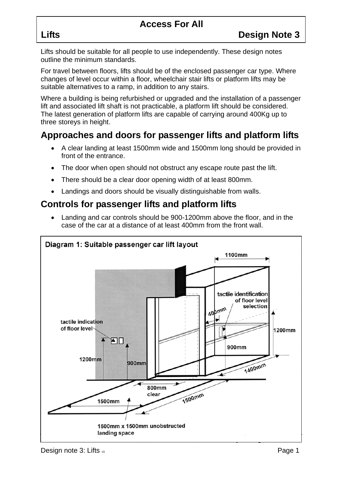# **Access For All**

Lifts should be suitable for all people to use independently. These design notes outline the minimum standards.

For travel between floors, lifts should be of the enclosed passenger car type. Where changes of level occur within a floor, wheelchair stair lifts or platform lifts may be suitable alternatives to a ramp, in addition to any stairs.

Where a building is being refurbished or upgraded and the installation of a passenger lift and associated lift shaft is not practicable, a platform lift should be considered. The latest generation of platform lifts are capable of carrying around 400Kg up to three storeys in height.

## **Approaches and doors for passenger lifts and platform lifts**

- A clear landing at least 1500mm wide and 1500mm long should be provided in front of the entrance.
- The door when open should not obstruct any escape route past the lift.
- There should be a clear door opening width of at least 800mm.
- Landings and doors should be visually distinguishable from walls.

# **Controls for passenger lifts and platform lifts**

• Landing and car controls should be 900-1200mm above the floor, and in the case of the car at a distance of at least 400mm from the front wall.

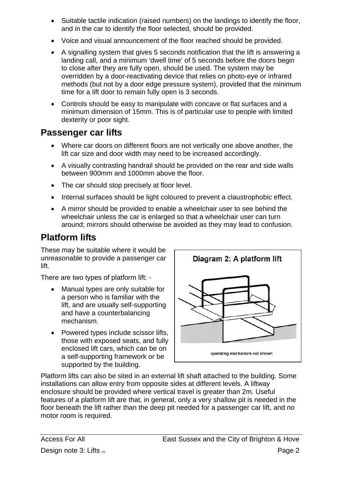- Suitable tactile indication (raised numbers) on the landings to identify the floor, and in the car to identify the floor selected, should be provided.
- Voice and visual announcement of the floor reached should be provided.
- A signalling system that gives 5 seconds notification that the lift is answering a landing call, and a minimum 'dwell time' of 5 seconds before the doors begin to close after they are fully open, should be used. The system may be overridden by a door-reactivating device that relies on photo-eye or infrared methods (but not by a door edge pressure system), provided that the minimum time for a lift door to remain fully open is 3 seconds.
- Controls should be easy to manipulate with concave or flat surfaces and a minimum dimension of 15mm. This is of particular use to people with limited dexterity or poor sight.

## **Passenger car lifts**

- Where car doors on different floors are not vertically one above another, the lift car size and door width may need to be increased accordingly.
- A visually contrasting handrail should be provided on the rear and side walls between 900mm and 1000mm above the floor.
- The car should stop precisely at floor level.
- Internal surfaces should be light coloured to prevent a claustrophobic effect.
- A mirror should be provided to enable a wheelchair user to see behind the wheelchair unless the car is enlarged so that a wheelchair user can turn around; mirrors should otherwise be avoided as they may lead to confusion.

# **Platform lifts**

These may be suitable where it would be unreasonable to provide a passenger car lift.

There are two types of platform lift: -

- Manual types are only suitable for a person who is familiar with the lift, and are usually self-supporting and have a counterbalancing mechanism.
- Powered types include scissor lifts, those with exposed seats, and fully enclosed lift cars, which can be on a self-supporting framework or be supported by the building.



Platform lifts can also be sited in an external lift shaft attached to the building. Some installations can allow entry from opposite sides at different levels. A liftway enclosure should be provided where vertical travel is greater than 2m. Useful features of a platform lift are that, in general, only a very shallow pit is needed in the floor beneath the lift rather than the deep pit needed for a passenger car lift, and no motor room is required.